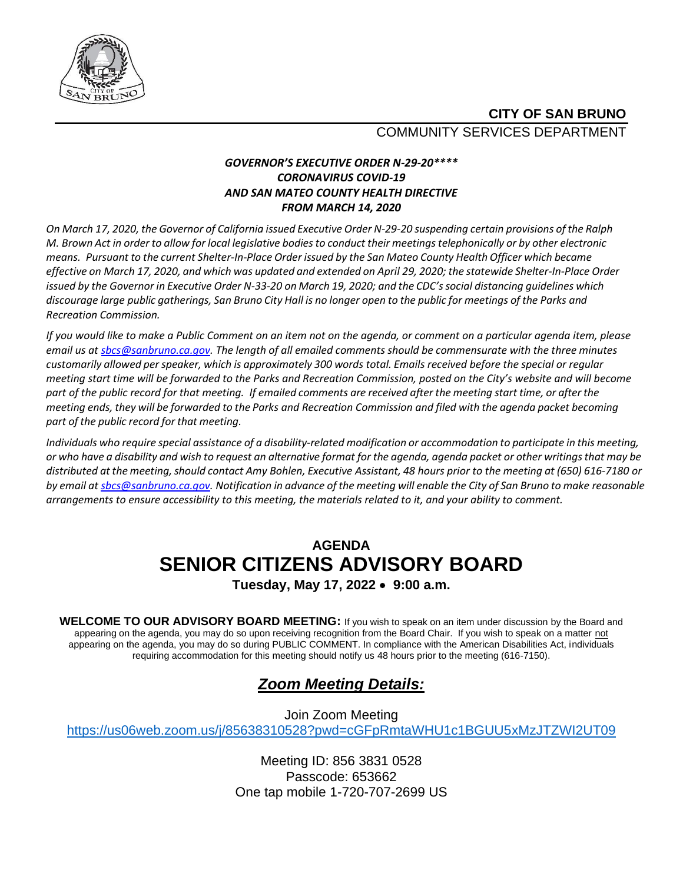

# **CITY OF SAN BRUNO** COMMUNITY SERVICES DEPARTMENT

## *GOVERNOR'S EXECUTIVE ORDER N-29-20\*\*\*\* CORONAVIRUS COVID-19 AND SAN MATEO COUNTY HEALTH DIRECTIVE FROM MARCH 14, 2020*

On March 17, 2020, the Governor of California issued Executive Order N-29-20 suspending certain provisions of the Ralph M. Brown Act in order to allow for local legislative bodies to conduct their meetings telephonically or by other electronic *means. Pursuant to the current Shelter-In-Place Order issued by the San Mateo County Health Officer which became* effective on March 17, 2020, and which was updated and extended on April 29, 2020; the statewide Shelter-In-Place Order issued by the Governor in Executive Order N-33-20 on March 19, 2020; and the CDC's social distancing guidelines which discourage large public gatherings, San Bruno City Hall is no longer open to the public for meetings of the Parks and *Recreation Commission.*

*If you would like to make a Public Comment on an item not on the agenda, or comment on a particular agenda item, please email us a[t sbcs@sanbruno.ca.gov.](mailto:sbcs@sanbruno.ca.gov) The length of all emailed comments should be commensurate with the three minutes customarily allowed perspeaker, which is approximately 300 words total. Emails received before the special or regular meeting start time will be forwarded to the Parks and Recreation Commission, posted on the City's website and will become part of the public record for that meeting. If emailed comments are received after the meeting start time, or after the meeting ends, they will be forwarded to the Parks and Recreation Commission and filed with the agenda packet becoming part of the public record for that meeting.* 

Individuals who require special assistance of a disability-related modification or accommodation to participate in this meeting, or who have a disability and wish to request an alternative format for the agenda, agenda packet or other writings that may be *distributed at the meeting,should contact Amy Bohlen, Executive Assistant, 48 hours prior to the meeting at (650) 616-7180 or* by email a[t sbcs@sanbruno.ca.gov.](mailto:sbcs@sanbruno.ca.gov) Notification in advance of the meeting will enable the City of San Bruno to make reasonable *arrangements to ensure accessibility to this meeting, the materials related to it, and your ability to comment.* 

# **AGENDA SENIOR CITIZENS ADVISORY BOARD**

**Tuesday, May 17, 2022** • **9:00 a.m.**

**WELCOME TO OUR ADVISORY BOARD MEETING:** If you wish to speak on an item under discussion by the Board and appearing on the agenda, you may do so upon receiving recognition from the Board Chair. If you wish to speak on a matter not appearing on the agenda, you may do so during PUBLIC COMMENT. In compliance with the American Disabilities Act, individuals requiring accommodation for this meeting should notify us 48 hours prior to the meeting (616-7150).

# *Zoom Meeting Details:*

Join Zoom Meeting <https://us06web.zoom.us/j/85638310528?pwd=cGFpRmtaWHU1c1BGUU5xMzJTZWI2UT09>

> Meeting ID: 856 3831 0528 Passcode: 653662 One tap mobile 1-720-707-2699 US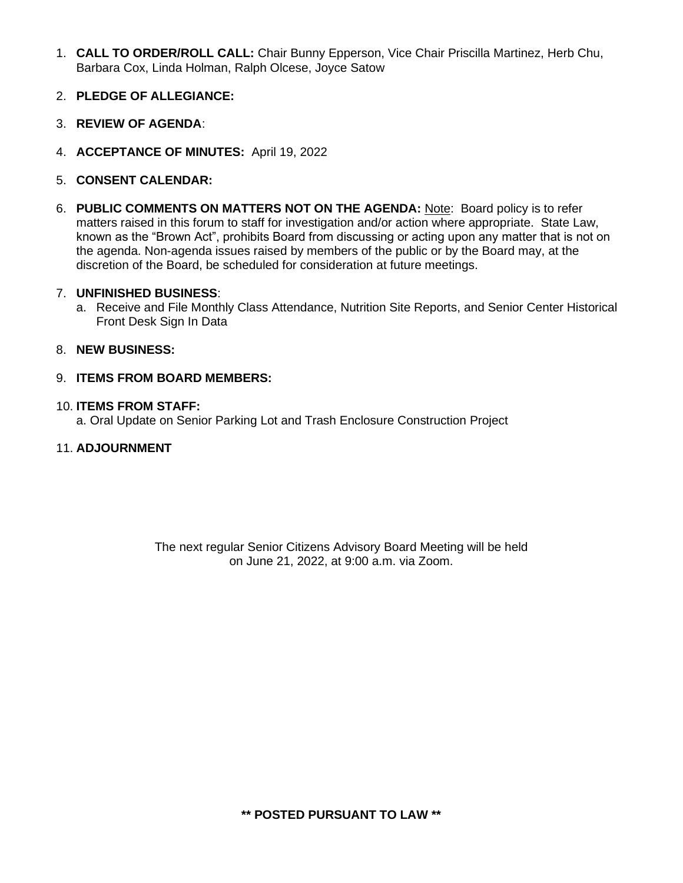- 1. **CALL TO ORDER/ROLL CALL:** Chair Bunny Epperson, Vice Chair Priscilla Martinez, Herb Chu, Barbara Cox, Linda Holman, Ralph Olcese, Joyce Satow
- 2. **PLEDGE OF ALLEGIANCE:**
- 3. **REVIEW OF AGENDA**:
- 4. **ACCEPTANCE OF MINUTES:** April 19, 2022
- 5. **CONSENT CALENDAR:**
- 6. **PUBLIC COMMENTS ON MATTERS NOT ON THE AGENDA:** Note: Board policy is to refer matters raised in this forum to staff for investigation and/or action where appropriate. State Law, known as the "Brown Act", prohibits Board from discussing or acting upon any matter that is not on the agenda. Non-agenda issues raised by members of the public or by the Board may, at the discretion of the Board, be scheduled for consideration at future meetings.

### 7. **UNFINISHED BUSINESS**:

a. Receive and File Monthly Class Attendance, Nutrition Site Reports, and Senior Center Historical Front Desk Sign In Data

## 8. **NEW BUSINESS:**

9. **ITEMS FROM BOARD MEMBERS:**

### 10. **ITEMS FROM STAFF:**

a. Oral Update on Senior Parking Lot and Trash Enclosure Construction Project

## 11. **ADJOURNMENT**

The next regular Senior Citizens Advisory Board Meeting will be held on June 21, 2022, at 9:00 a.m. via Zoom.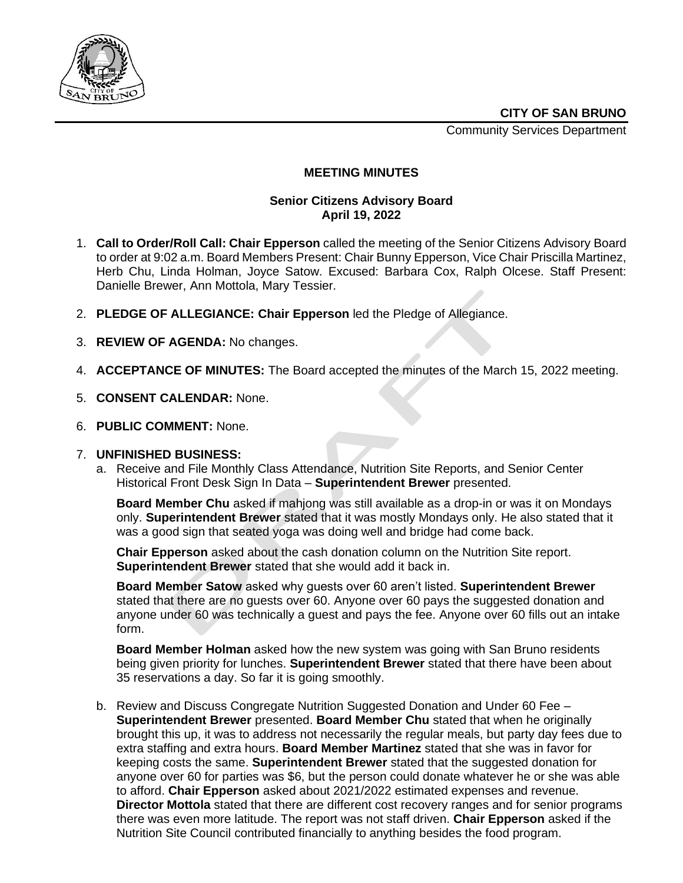Community Services Department



## **MEETING MINUTES**

### **Senior Citizens Advisory Board April 19, 2022**

- 1. **Call to Order/Roll Call: Chair Epperson** called the meeting of the Senior Citizens Advisory Board to order at 9:02 a.m. Board Members Present: Chair Bunny Epperson, Vice Chair Priscilla Martinez, Herb Chu, Linda Holman, Joyce Satow. Excused: Barbara Cox, Ralph Olcese. Staff Present: Danielle Brewer, Ann Mottola, Mary Tessier.
- 2. **PLEDGE OF ALLEGIANCE: Chair Epperson** led the Pledge of Allegiance.
- 3. **REVIEW OF AGENDA:** No changes.
- 4. **ACCEPTANCE OF MINUTES:** The Board accepted the minutes of the March 15, 2022 meeting.
- 5. **CONSENT CALENDAR:** None.
- 6. **PUBLIC COMMENT:** None.

#### 7. **UNFINISHED BUSINESS:**

a. Receive and File Monthly Class Attendance, Nutrition Site Reports, and Senior Center Historical Front Desk Sign In Data – **Superintendent Brewer** presented.

**Board Member Chu** asked if mahjong was still available as a drop-in or was it on Mondays only. **Superintendent Brewer** stated that it was mostly Mondays only. He also stated that it was a good sign that seated yoga was doing well and bridge had come back.

**Chair Epperson** asked about the cash donation column on the Nutrition Site report. **Superintendent Brewer** stated that she would add it back in.

**Board Member Satow** asked why guests over 60 aren't listed. **Superintendent Brewer** stated that there are no guests over 60. Anyone over 60 pays the suggested donation and anyone under 60 was technically a guest and pays the fee. Anyone over 60 fills out an intake form.

**Board Member Holman** asked how the new system was going with San Bruno residents being given priority for lunches. **Superintendent Brewer** stated that there have been about 35 reservations a day. So far it is going smoothly.

b. Review and Discuss Congregate Nutrition Suggested Donation and Under 60 Fee – **Superintendent Brewer** presented. **Board Member Chu** stated that when he originally brought this up, it was to address not necessarily the regular meals, but party day fees due to extra staffing and extra hours. **Board Member Martinez** stated that she was in favor for keeping costs the same. **Superintendent Brewer** stated that the suggested donation for anyone over 60 for parties was \$6, but the person could donate whatever he or she was able to afford. **Chair Epperson** asked about 2021/2022 estimated expenses and revenue. **Director Mottola** stated that there are different cost recovery ranges and for senior programs there was even more latitude. The report was not staff driven. **Chair Epperson** asked if the Nutrition Site Council contributed financially to anything besides the food program.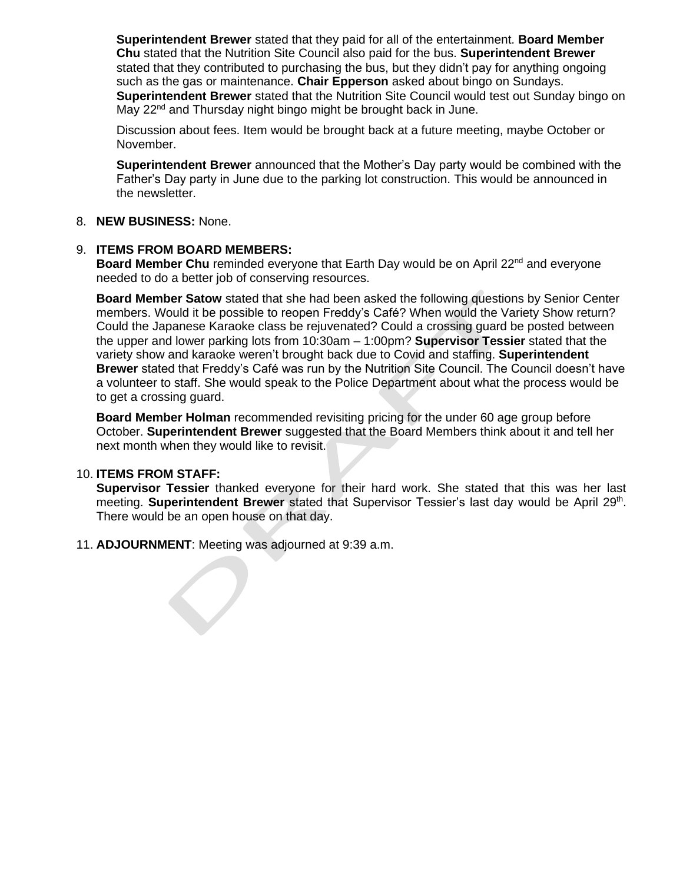**Superintendent Brewer** stated that they paid for all of the entertainment. **Board Member Chu** stated that the Nutrition Site Council also paid for the bus. **Superintendent Brewer** stated that they contributed to purchasing the bus, but they didn't pay for anything ongoing such as the gas or maintenance. **Chair Epperson** asked about bingo on Sundays. **Superintendent Brewer** stated that the Nutrition Site Council would test out Sunday bingo on May 22<sup>nd</sup> and Thursday night bingo might be brought back in June.

Discussion about fees. Item would be brought back at a future meeting, maybe October or November.

**Superintendent Brewer** announced that the Mother's Day party would be combined with the Father's Day party in June due to the parking lot construction. This would be announced in the newsletter.

#### 8. **NEW BUSINESS:** None.

#### 9. **ITEMS FROM BOARD MEMBERS:**

Board Member Chu reminded everyone that Earth Day would be on April 22<sup>nd</sup> and everyone needed to do a better job of conserving resources.

**Board Member Satow** stated that she had been asked the following questions by Senior Center members. Would it be possible to reopen Freddy's Café? When would the Variety Show return? Could the Japanese Karaoke class be rejuvenated? Could a crossing guard be posted between the upper and lower parking lots from 10:30am – 1:00pm? **Supervisor Tessier** stated that the variety show and karaoke weren't brought back due to Covid and staffing. **Superintendent Brewer** stated that Freddy's Café was run by the Nutrition Site Council. The Council doesn't have a volunteer to staff. She would speak to the Police Department about what the process would be to get a crossing guard.

**Board Member Holman** recommended revisiting pricing for the under 60 age group before October. **Superintendent Brewer** suggested that the Board Members think about it and tell her next month when they would like to revisit.

#### 10. **ITEMS FROM STAFF:**

**Supervisor Tessier** thanked everyone for their hard work. She stated that this was her last meeting. **Superintendent Brewer** stated that Supervisor Tessier's last day would be April 29<sup>th</sup>. There would be an open house on that day.

11. **ADJOURNMENT**: Meeting was adjourned at 9:39 a.m.

 $\bigcirc$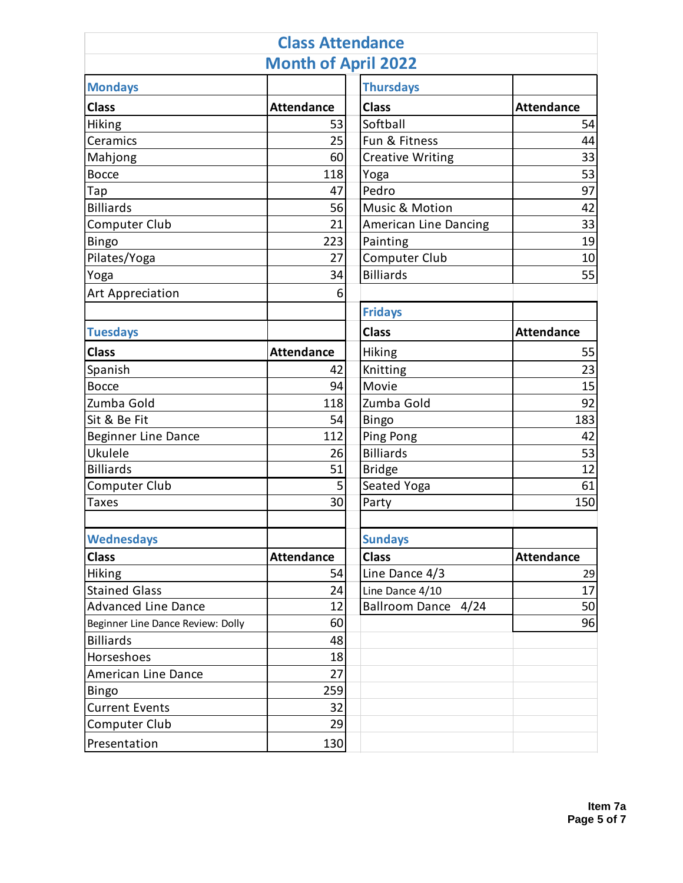|                                   | <b>Class Attendance</b>    |                         |                   |  |
|-----------------------------------|----------------------------|-------------------------|-------------------|--|
|                                   | <b>Month of April 2022</b> |                         |                   |  |
| <b>Mondays</b>                    |                            | <b>Thursdays</b>        |                   |  |
| <b>Class</b>                      | <b>Attendance</b>          | <b>Class</b>            | <b>Attendance</b> |  |
| Hiking                            | 53                         | Softball                | 54                |  |
| Ceramics                          | 25                         | Fun & Fitness           | 44                |  |
| Mahjong                           | 60                         | <b>Creative Writing</b> | 33                |  |
| <b>Bocce</b>                      | 118                        | Yoga                    | 53                |  |
| Tap                               | 47                         | Pedro                   | 97                |  |
| <b>Billiards</b>                  | 56                         | Music & Motion          | 42                |  |
| <b>Computer Club</b>              | 21                         | American Line Dancing   | 33                |  |
| Bingo                             | 223                        | Painting                | 19                |  |
| Pilates/Yoga                      | 27                         | <b>Computer Club</b>    | 10                |  |
| Yoga                              | 34                         | <b>Billiards</b>        | 55                |  |
| Art Appreciation                  | 6                          |                         |                   |  |
|                                   |                            | <b>Fridays</b>          |                   |  |
| <b>Tuesdays</b>                   |                            | <b>Class</b>            | <b>Attendance</b> |  |
| <b>Class</b>                      | <b>Attendance</b>          | Hiking                  | 55                |  |
| Spanish                           | 42                         | Knitting                | 23                |  |
| <b>Bocce</b>                      | 94                         | Movie                   | 15                |  |
| Zumba Gold                        | 118                        | Zumba Gold              | 92                |  |
| Sit & Be Fit                      | 54                         | Bingo                   | 183               |  |
| <b>Beginner Line Dance</b>        | 112                        | Ping Pong               | 42                |  |
| Ukulele                           | 26                         | <b>Billiards</b>        | 53                |  |
| <b>Billiards</b>                  | 51                         | <b>Bridge</b>           | 12                |  |
| <b>Computer Club</b>              | 5                          | Seated Yoga             | 61                |  |
| <b>Taxes</b>                      | 30                         | Party                   |                   |  |
| <b>Wednesdays</b>                 |                            | <b>Sundays</b>          |                   |  |
| <b>Class</b>                      | <b>Attendance</b>          | <b>Class</b>            | <b>Attendance</b> |  |
| <b>Hiking</b>                     | 54                         | Line Dance 4/3          | 29                |  |
| <b>Stained Glass</b>              | 24                         | Line Dance 4/10         | 17                |  |
| <b>Advanced Line Dance</b>        | 12                         | Ballroom Dance 4/24     | 50                |  |
| Beginner Line Dance Review: Dolly | 60                         |                         | 96                |  |
| <b>Billiards</b>                  | 48                         |                         |                   |  |
| Horseshoes                        | 18                         |                         |                   |  |
| American Line Dance               | 27                         |                         |                   |  |
| <b>Bingo</b>                      | 259                        |                         |                   |  |
| <b>Current Events</b>             | 32                         |                         |                   |  |
| Computer Club                     | 29                         |                         |                   |  |
| Presentation                      | 130                        |                         |                   |  |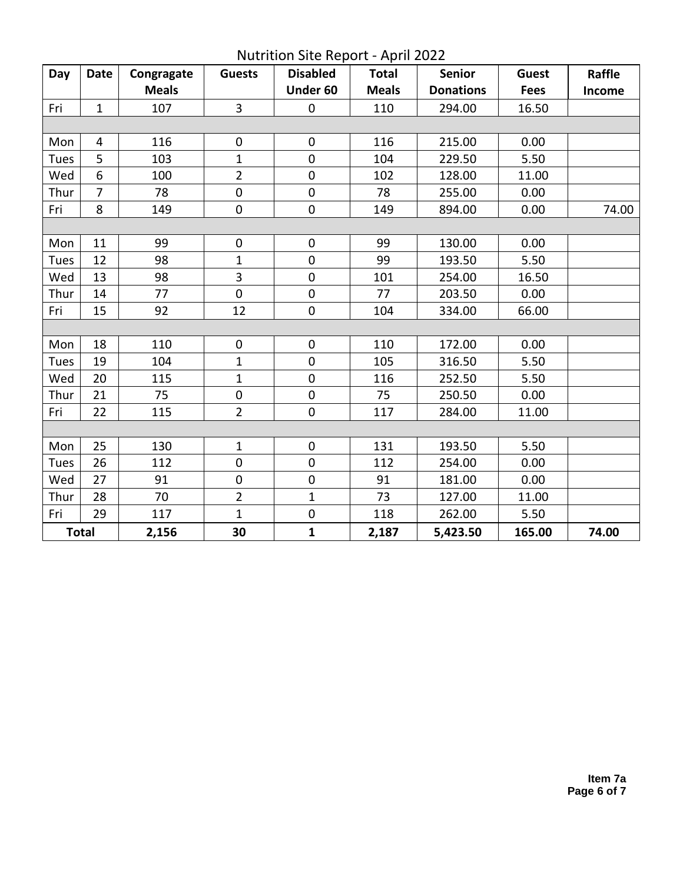| Day  | <b>Date</b>    | Congragate   | <b>Guests</b>       | <b>Disabled</b>     | <b>Total</b>           | Senior           |             | Raffle |  |
|------|----------------|--------------|---------------------|---------------------|------------------------|------------------|-------------|--------|--|
|      |                | <b>Meals</b> |                     | Under 60            | <b>Meals</b>           | <b>Donations</b> | <b>Fees</b> | Income |  |
| Fri  | $\mathbf{1}$   | 107          | $\overline{3}$      | $\mathbf 0$         | 110<br>16.50<br>294.00 |                  |             |        |  |
|      |                |              |                     |                     |                        |                  |             |        |  |
| Mon  | $\overline{4}$ | 116          | $\mathbf 0$         | $\mathbf 0$         | 116<br>215.00          |                  | 0.00        |        |  |
| Tues | 5              | 103          | $\mathbf{1}$        | $\mathbf 0$         | 104                    | 229.50           | 5.50        |        |  |
| Wed  | 6              | 100          | $\overline{2}$      | $\mathbf 0$         | 102                    | 128.00           | 11.00       |        |  |
| Thur | $\overline{7}$ | 78           | $\mathsf{O}\xspace$ | $\mathbf 0$         | 78                     | 255.00           | 0.00        |        |  |
| Fri  | 8              | 149          | 0                   | $\mathbf 0$         | 149                    | 894.00           | 0.00        | 74.00  |  |
|      |                |              |                     |                     |                        |                  |             |        |  |
| Mon  | 11             | 99           | $\mathbf 0$         | $\pmb{0}$           | 99                     | 130.00           | 0.00        |        |  |
| Tues | 12             | 98           | $\mathbf{1}$        | $\mathsf{O}\xspace$ | 99<br>5.50<br>193.50   |                  |             |        |  |
| Wed  | 13             | 98           | 3                   | $\mathbf 0$         | 101                    | 254.00           | 16.50       |        |  |
| Thur | 14             | 77           | $\mathbf 0$         | $\pmb{0}$           | 77                     | 203.50           | 0.00        |        |  |
| Fri  | 15             | 92           | 12                  | $\pmb{0}$           | 104                    | 334.00           | 66.00       |        |  |
|      |                |              |                     |                     |                        |                  |             |        |  |
| Mon  | 18             | 110          | 0                   | $\pmb{0}$           | 110                    | 172.00           | 0.00        |        |  |
| Tues | 19             | 104          | $\mathbf{1}$        | $\mathbf 0$         | 105                    | 316.50           | 5.50        |        |  |
| Wed  | 20             | 115          | $\mathbf{1}$        | $\mathbf 0$         | 116                    | 252.50           | 5.50        |        |  |
| Thur | 21             | 75           | $\pmb{0}$           | $\pmb{0}$           | 75                     | 250.50           | 0.00        |        |  |
| Fri  | 22             | 115          | $\overline{2}$      | $\pmb{0}$           | 117                    | 284.00           | 11.00       |        |  |
|      |                |              |                     |                     |                        |                  |             |        |  |
| Mon  | 25             | 130          | $\mathbf{1}$        | $\pmb{0}$           | 131                    | 193.50           | 5.50        |        |  |
| Tues | 26             | 112          | $\mathbf 0$         | $\mathbf 0$         | 112                    | 254.00           | 0.00        |        |  |
| Wed  | 27             | 91           | 0                   | $\pmb{0}$           | 91                     | 181.00           | 0.00        |        |  |
| Thur | 28             | 70           | $\overline{2}$      | $\mathbf{1}$        | 73                     | 127.00           | 11.00       |        |  |
| Fri  | 29             | 117          | $\mathbf{1}$        | $\pmb{0}$           | 118                    | 262.00           | 5.50        |        |  |
|      | <b>Total</b>   | 2,156        | 30                  | $\mathbf{1}$        | 2,187                  | 5,423.50         | 165.00      | 74.00  |  |

# Nutrition Site Report - April 2022